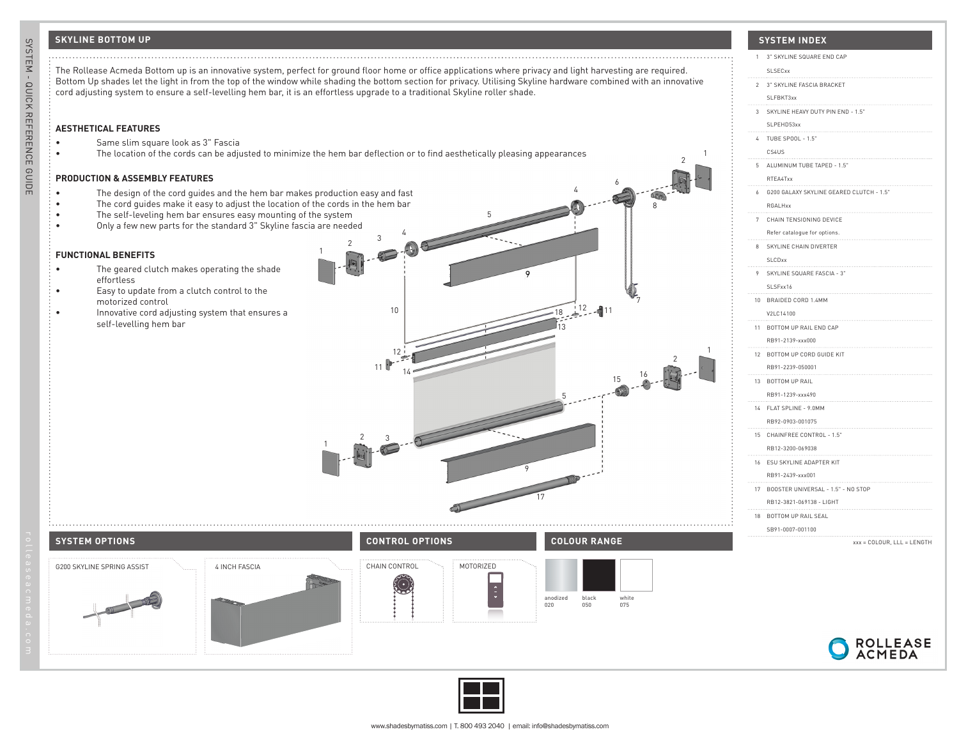## **SKYLINE BOTTOM UP**



1 3" SKYLINE SQUARE END CAP